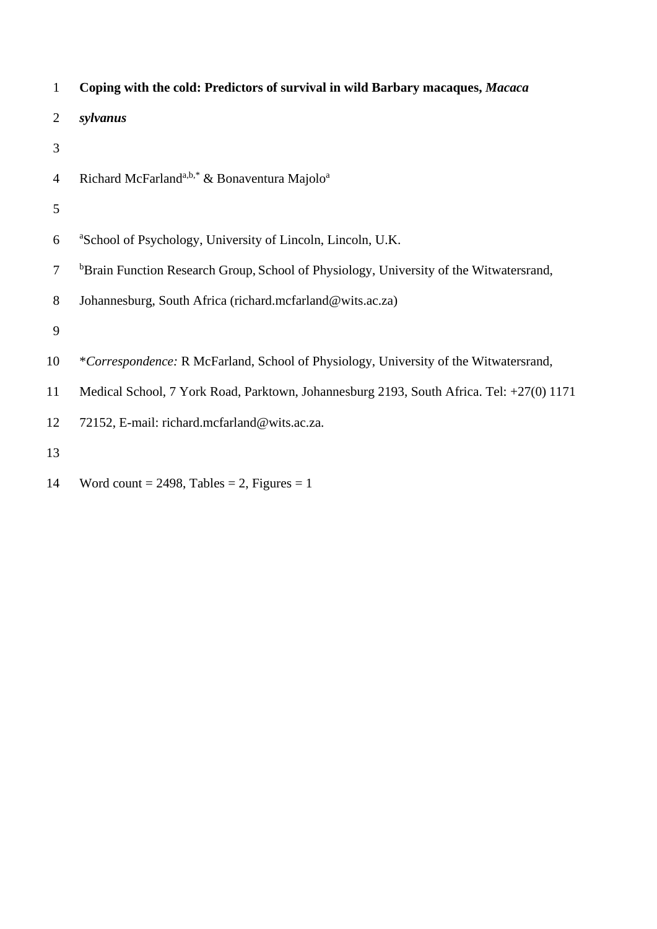| $\mathbf{1}$   | Coping with the cold: Predictors of survival in wild Barbary macaques, Macaca                      |
|----------------|----------------------------------------------------------------------------------------------------|
| 2              | sylvanus                                                                                           |
| 3              |                                                                                                    |
| $\overline{4}$ | Richard McFarland <sup>a,b,*</sup> & Bonaventura Majolo <sup>a</sup>                               |
| 5              |                                                                                                    |
| 6              | <sup>a</sup> School of Psychology, University of Lincoln, Lincoln, U.K.                            |
| $\overline{7}$ | <sup>b</sup> Brain Function Research Group, School of Physiology, University of the Witwatersrand, |
| 8              | Johannesburg, South Africa (richard.mcfarland@wits.ac.za)                                          |
| 9              |                                                                                                    |
| 10             | *Correspondence: R McFarland, School of Physiology, University of the Witwatersrand,               |
| 11             | Medical School, 7 York Road, Parktown, Johannesburg 2193, South Africa. Tel: +27(0) 1171           |
| 12             | 72152, E-mail: richard.mcfarland@wits.ac.za.                                                       |
| 13             |                                                                                                    |
|                |                                                                                                    |

14 Word count = 2498, Tables = 2, Figures = 1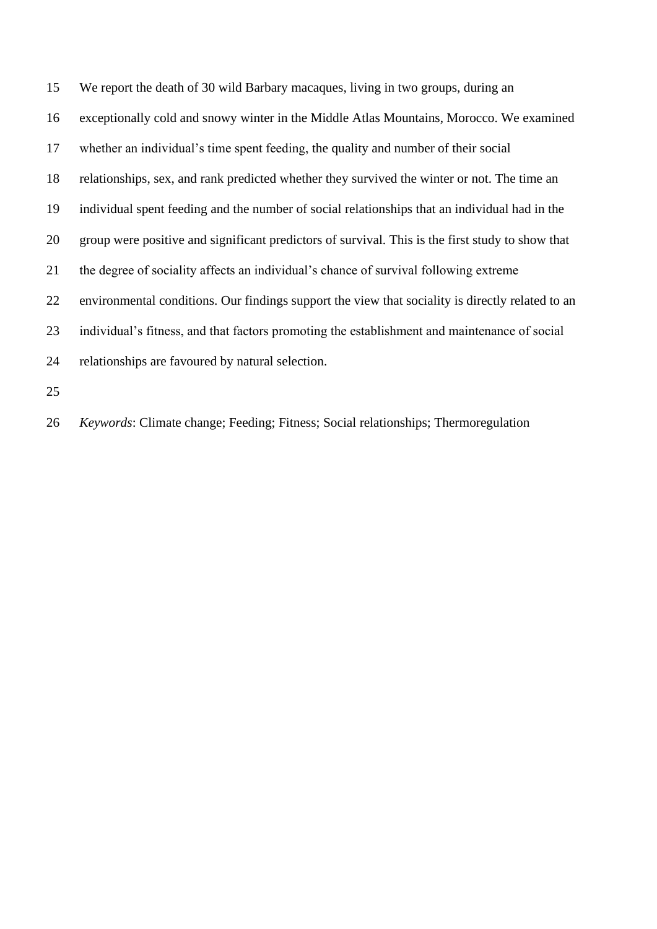We report the death of 30 wild Barbary macaques, living in two groups, during an exceptionally cold and snowy winter in the Middle Atlas Mountains, Morocco. We examined whether an individual's time spent feeding, the quality and number of their social relationships, sex, and rank predicted whether they survived the winter or not. The time an individual spent feeding and the number of social relationships that an individual had in the group were positive and significant predictors of survival. This is the first study to show that the degree of sociality affects an individual's chance of survival following extreme environmental conditions. Our findings support the view that sociality is directly related to an individual's fitness, and that factors promoting the establishment and maintenance of social relationships are favoured by natural selection. 

*Keywords*: Climate change; Feeding; Fitness; Social relationships; Thermoregulation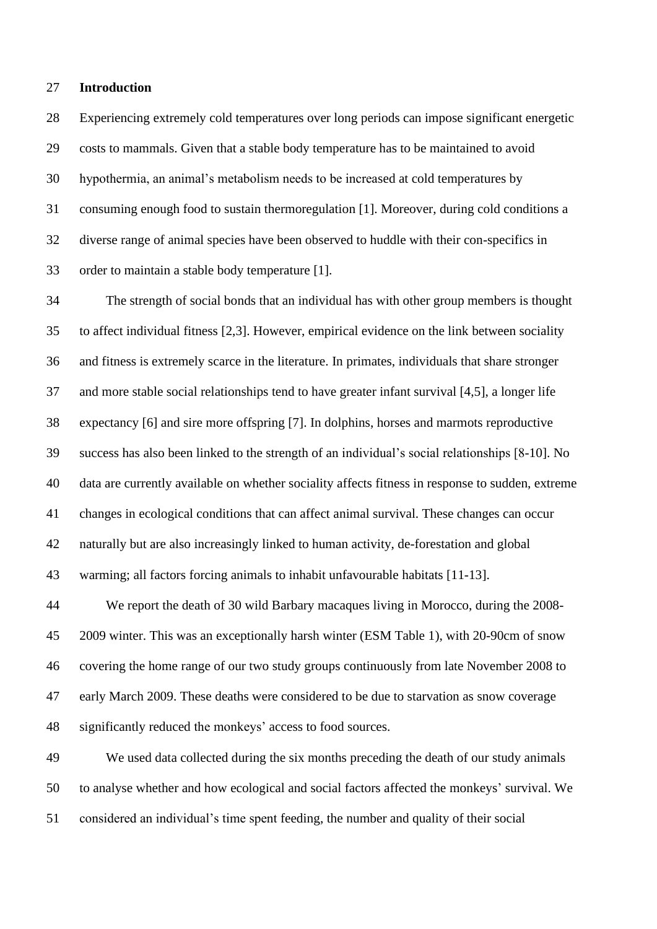#### **Introduction**

 Experiencing extremely cold temperatures over long periods can impose significant energetic costs to mammals. Given that a stable body temperature has to be maintained to avoid hypothermia, an animal's metabolism needs to be increased at cold temperatures by consuming enough food to sustain thermoregulation [1]. Moreover, during cold conditions a diverse range of animal species have been observed to huddle with their con-specifics in order to maintain a stable body temperature [1].

 The strength of social bonds that an individual has with other group members is thought to affect individual fitness [2,3]. However, empirical evidence on the link between sociality and fitness is extremely scarce in the literature. In primates, individuals that share stronger and more stable social relationships tend to have greater infant survival [4,5], a longer life expectancy [6] and sire more offspring [7]. In dolphins, horses and marmots reproductive success has also been linked to the strength of an individual's social relationships [8-10]. No data are currently available on whether sociality affects fitness in response to sudden, extreme changes in ecological conditions that can affect animal survival. These changes can occur naturally but are also increasingly linked to human activity, de-forestation and global warming; all factors forcing animals to inhabit unfavourable habitats [11-13].

 We report the death of 30 wild Barbary macaques living in Morocco, during the 2008- 2009 winter. This was an exceptionally harsh winter (ESM Table 1), with 20-90cm of snow covering the home range of our two study groups continuously from late November 2008 to early March 2009. These deaths were considered to be due to starvation as snow coverage significantly reduced the monkeys' access to food sources.

 We used data collected during the six months preceding the death of our study animals to analyse whether and how ecological and social factors affected the monkeys' survival. We considered an individual's time spent feeding, the number and quality of their social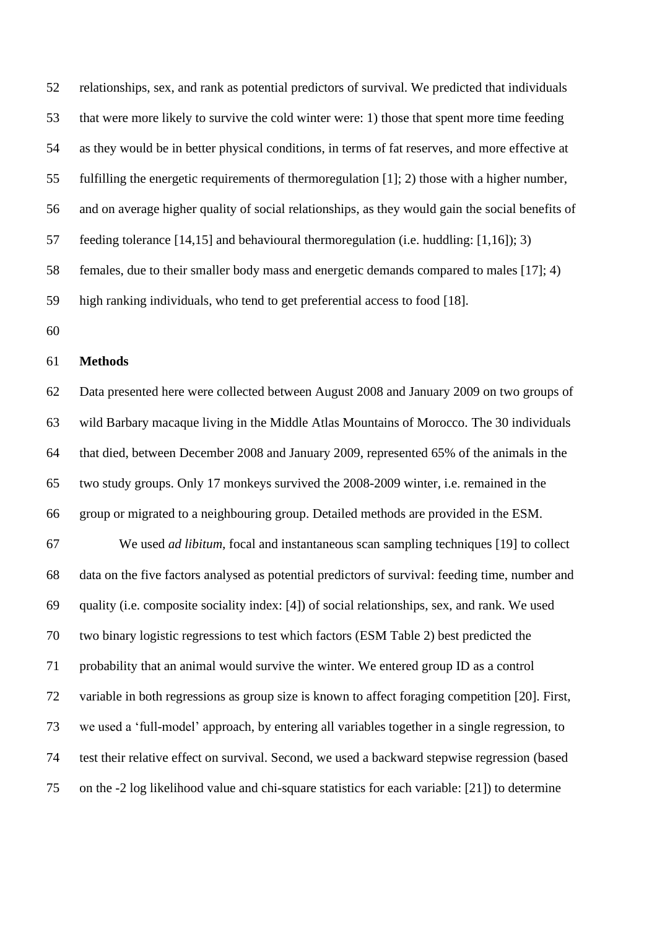relationships, sex, and rank as potential predictors of survival. We predicted that individuals that were more likely to survive the cold winter were: 1) those that spent more time feeding as they would be in better physical conditions, in terms of fat reserves, and more effective at fulfilling the energetic requirements of thermoregulation [1]; 2) those with a higher number, and on average higher quality of social relationships, as they would gain the social benefits of feeding tolerance [14,15] and behavioural thermoregulation (i.e. huddling: [1,16]); 3) females, due to their smaller body mass and energetic demands compared to males [17]; 4) high ranking individuals, who tend to get preferential access to food [18]. 

## **Methods**

 Data presented here were collected between August 2008 and January 2009 on two groups of wild Barbary macaque living in the Middle Atlas Mountains of Morocco. The 30 individuals that died, between December 2008 and January 2009, represented 65% of the animals in the two study groups. Only 17 monkeys survived the 2008-2009 winter, i.e. remained in the group or migrated to a neighbouring group. Detailed methods are provided in the ESM.

 We used *ad libitum,* focal and instantaneous scan sampling techniques [19] to collect data on the five factors analysed as potential predictors of survival: feeding time, number and quality (i.e. composite sociality index: [4]) of social relationships, sex, and rank. We used two binary logistic regressions to test which factors (ESM Table 2) best predicted the probability that an animal would survive the winter. We entered group ID as a control variable in both regressions as group size is known to affect foraging competition [20]. First, we used a 'full-model' approach, by entering all variables together in a single regression, to test their relative effect on survival. Second, we used a backward stepwise regression (based on the -2 log likelihood value and chi-square statistics for each variable: [21]) to determine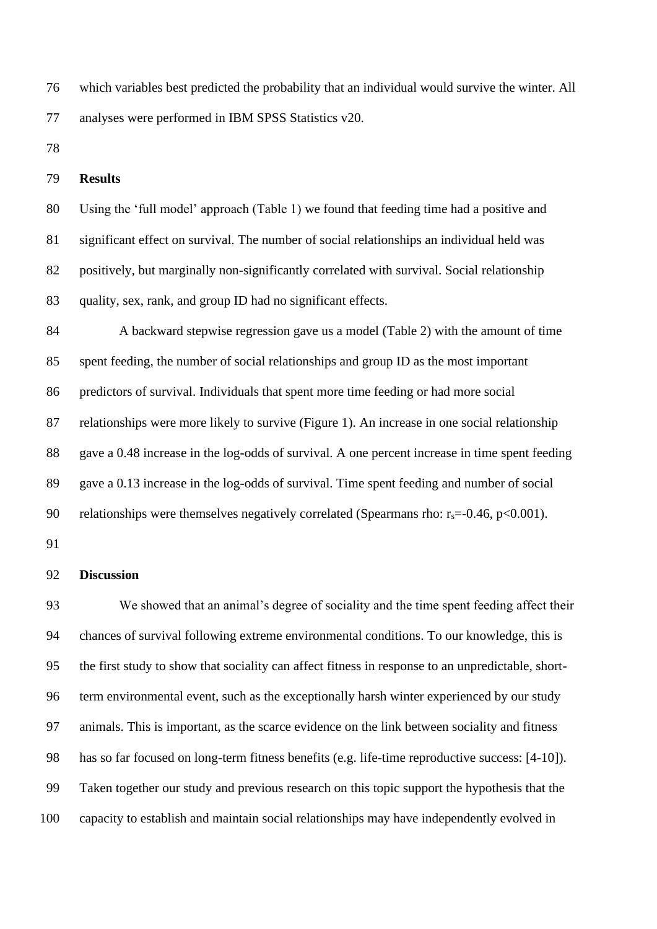which variables best predicted the probability that an individual would survive the winter. All analyses were performed in IBM SPSS Statistics v20.

# **Results**

 Using the 'full model' approach (Table 1) we found that feeding time had a positive and significant effect on survival. The number of social relationships an individual held was 82 positively, but marginally non-significantly correlated with survival. Social relationship quality, sex, rank, and group ID had no significant effects.

 A backward stepwise regression gave us a model (Table 2) with the amount of time spent feeding, the number of social relationships and group ID as the most important predictors of survival. Individuals that spent more time feeding or had more social relationships were more likely to survive (Figure 1). An increase in one social relationship gave a 0.48 increase in the log-odds of survival. A one percent increase in time spent feeding gave a 0.13 increase in the log-odds of survival. Time spent feeding and number of social 90 relationships were themselves negatively correlated (Spearmans rho:  $r_s = -0.46$ ,  $p < 0.001$ ).

# **Discussion**

 We showed that an animal's degree of sociality and the time spent feeding affect their chances of survival following extreme environmental conditions. To our knowledge, this is the first study to show that sociality can affect fitness in response to an unpredictable, short- term environmental event, such as the exceptionally harsh winter experienced by our study animals. This is important, as the scarce evidence on the link between sociality and fitness has so far focused on long-term fitness benefits (e.g. life-time reproductive success: [4-10]). Taken together our study and previous research on this topic support the hypothesis that the capacity to establish and maintain social relationships may have independently evolved in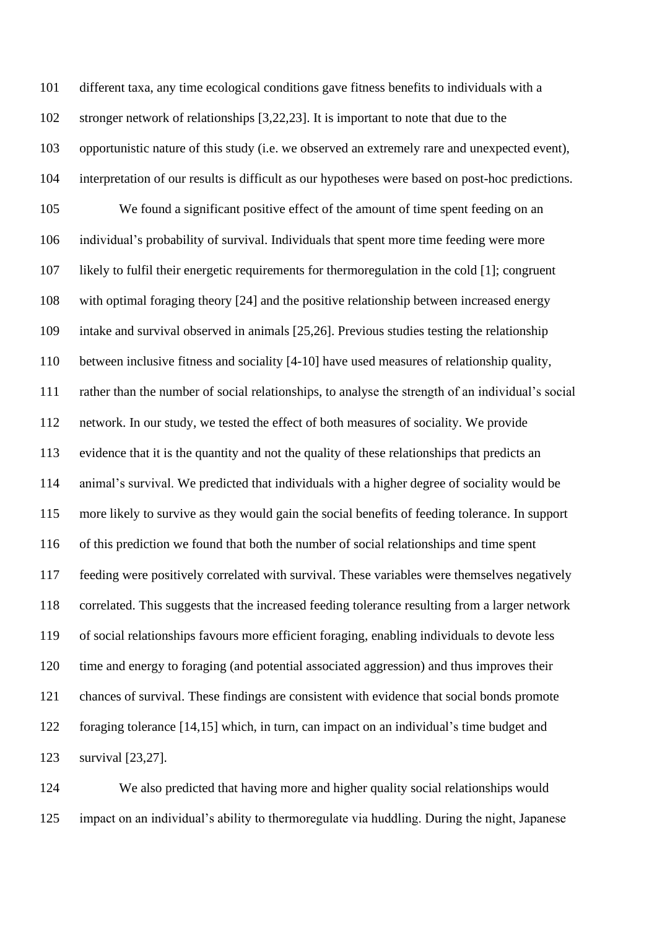different taxa, any time ecological conditions gave fitness benefits to individuals with a stronger network of relationships [3,22,23]. It is important to note that due to the opportunistic nature of this study (i.e. we observed an extremely rare and unexpected event), interpretation of our results is difficult as our hypotheses were based on post-hoc predictions. We found a significant positive effect of the amount of time spent feeding on an individual's probability of survival. Individuals that spent more time feeding were more likely to fulfil their energetic requirements for thermoregulation in the cold [1]; congruent with optimal foraging theory [24] and the positive relationship between increased energy intake and survival observed in animals [25,26]. Previous studies testing the relationship between inclusive fitness and sociality [4-10] have used measures of relationship quality, rather than the number of social relationships, to analyse the strength of an individual's social network. In our study, we tested the effect of both measures of sociality. We provide evidence that it is the quantity and not the quality of these relationships that predicts an animal's survival. We predicted that individuals with a higher degree of sociality would be more likely to survive as they would gain the social benefits of feeding tolerance. In support of this prediction we found that both the number of social relationships and time spent feeding were positively correlated with survival. These variables were themselves negatively correlated. This suggests that the increased feeding tolerance resulting from a larger network of social relationships favours more efficient foraging, enabling individuals to devote less time and energy to foraging (and potential associated aggression) and thus improves their chances of survival. These findings are consistent with evidence that social bonds promote foraging tolerance [14,15] which, in turn, can impact on an individual's time budget and survival [23,27].

 We also predicted that having more and higher quality social relationships would impact on an individual's ability to thermoregulate via huddling. During the night, Japanese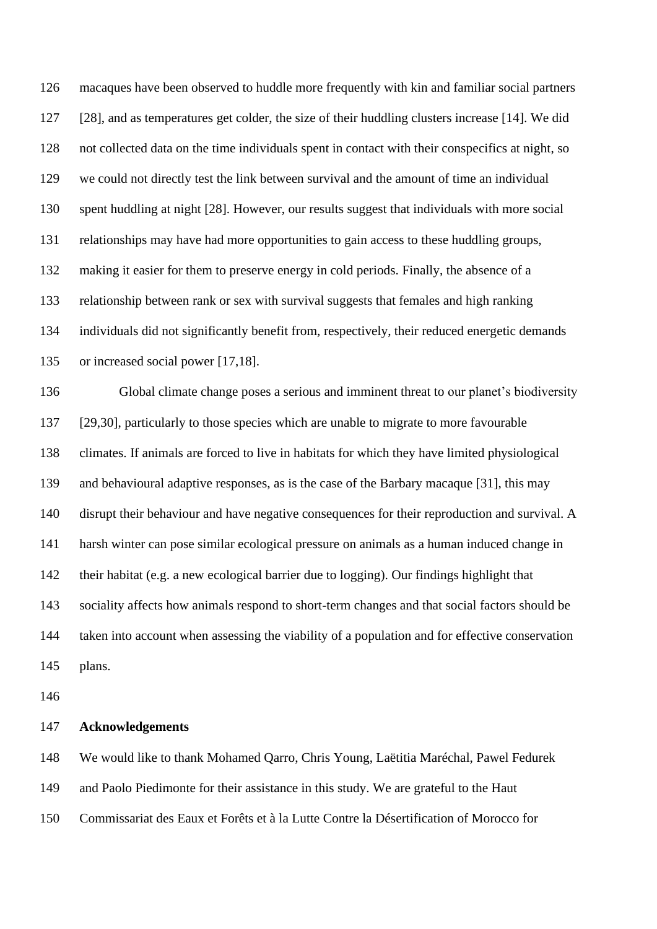macaques have been observed to huddle more frequently with kin and familiar social partners [28], and as temperatures get colder, the size of their huddling clusters increase [14]. We did not collected data on the time individuals spent in contact with their conspecifics at night, so we could not directly test the link between survival and the amount of time an individual spent huddling at night [28]. However, our results suggest that individuals with more social relationships may have had more opportunities to gain access to these huddling groups, making it easier for them to preserve energy in cold periods. Finally, the absence of a relationship between rank or sex with survival suggests that females and high ranking individuals did not significantly benefit from, respectively, their reduced energetic demands or increased social power [17,18].

 Global climate change poses a serious and imminent threat to our planet's biodiversity [29,30], particularly to those species which are unable to migrate to more favourable climates. If animals are forced to live in habitats for which they have limited physiological and behavioural adaptive responses, as is the case of the Barbary macaque [31], this may disrupt their behaviour and have negative consequences for their reproduction and survival. A harsh winter can pose similar ecological pressure on animals as a human induced change in their habitat (e.g. a new ecological barrier due to logging). Our findings highlight that sociality affects how animals respond to short-term changes and that social factors should be taken into account when assessing the viability of a population and for effective conservation plans.

### **Acknowledgements**

 We would like to thank Mohamed Qarro, Chris Young, Laëtitia Maréchal, Pawel Fedurek and Paolo Piedimonte for their assistance in this study. We are grateful to the Haut Commissariat des Eaux et Forêts et à la Lutte Contre la Désertification of Morocco for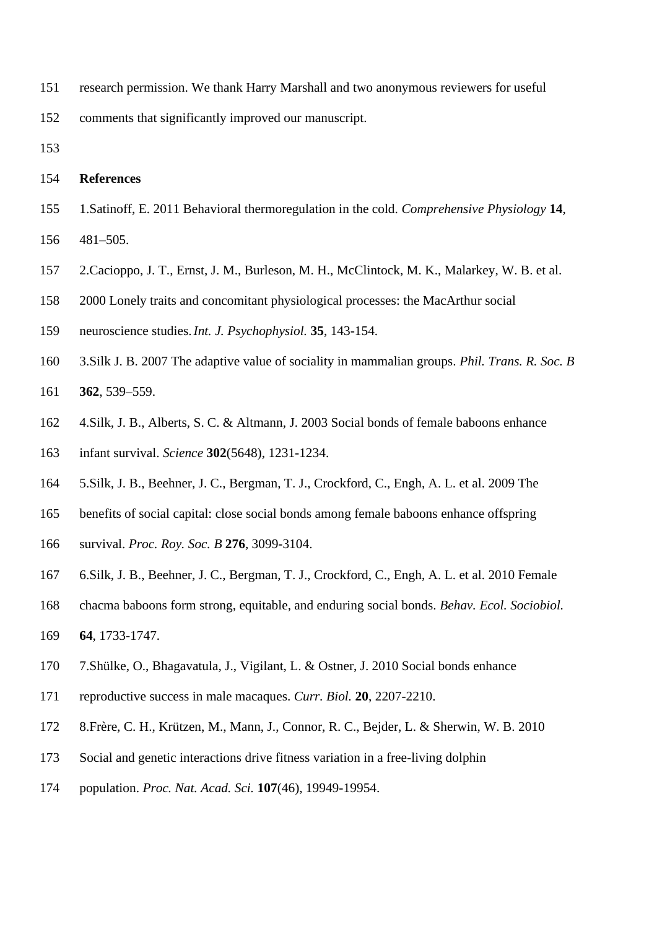research permission. We thank Harry Marshall and two anonymous reviewers for useful

comments that significantly improved our manuscript.

# **References**

- 1.Satinoff, E. 2011 Behavioral thermoregulation in the cold. *Comprehensive Physiology* **14**, 481–505.
- 2.Cacioppo, J. T., Ernst, J. M., Burleson, M. H., McClintock, M. K., Malarkey, W. B. et al.
- 2000 Lonely traits and concomitant physiological processes: the MacArthur social
- neuroscience studies.*Int. J. Psychophysiol.* **35**, 143-154.
- 3.Silk J. B. 2007 The adaptive value of sociality in mammalian groups. *Phil. Trans. R. Soc. B*
- **362**, 539–559.
- 4.Silk, J. B., Alberts, S. C. & Altmann, J. 2003 Social bonds of female baboons enhance
- infant survival. *Science* **302**(5648), 1231-1234.
- 5.Silk, J. B., Beehner, J. C., Bergman, T. J., Crockford, C., Engh, A. L. et al. 2009 The
- benefits of social capital: close social bonds among female baboons enhance offspring
- survival. *Proc. Roy. Soc. B* **276**, 3099-3104.
- 6.Silk, J. B., Beehner, J. C., Bergman, T. J., Crockford, C., Engh, A. L. et al. 2010 Female
- chacma baboons form strong, equitable, and enduring social bonds. *Behav. Ecol. Sociobiol.*
- **64**, 1733-1747.
- 7.Shülke, O., Bhagavatula, J., Vigilant, L. & Ostner, J. 2010 Social bonds enhance
- reproductive success in male macaques. *Curr. Biol.* **20**, 2207-2210.
- 8.Frère, C. H., Krützen, M., Mann, J., Connor, R. C., Bejder, L. & Sherwin, W. B. 2010
- Social and genetic interactions drive fitness variation in a free-living dolphin
- population. *Proc. Nat. Acad. Sci.* **107**(46), 19949-19954.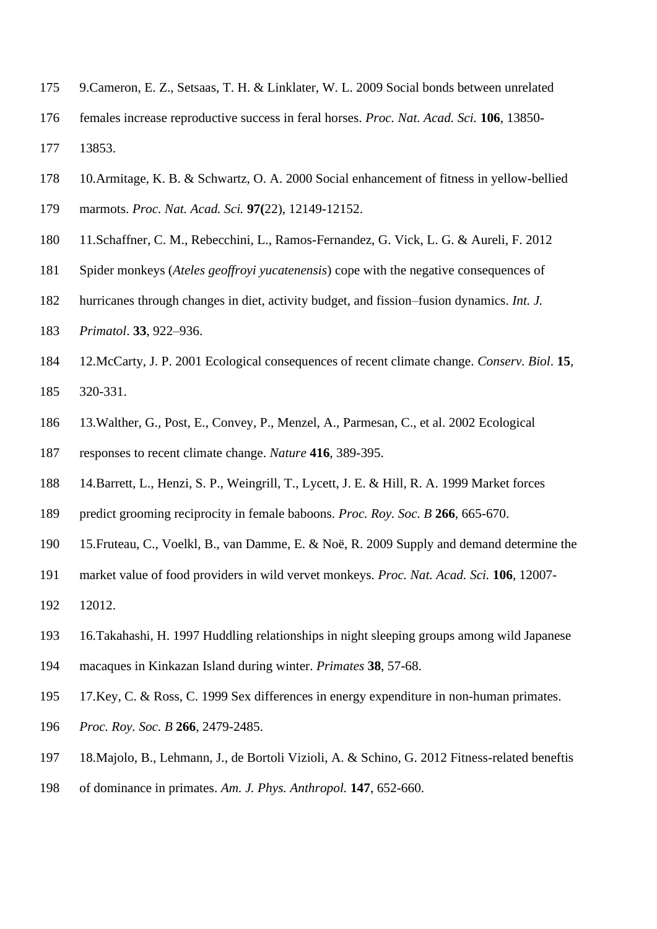- 9.Cameron, E. Z., Setsaas, T. H. & Linklater, W. L. 2009 Social bonds between unrelated
- females increase reproductive success in feral horses. *Proc. Nat. Acad. Sci.* **106**, 13850- 13853.
- 10.Armitage, K. B. & Schwartz, O. A. 2000 Social enhancement of fitness in yellow-bellied
- marmots. *Proc. Nat. Acad. Sci.* **97(**22), 12149-12152.
- 11.Schaffner, C. M., Rebecchini, L., Ramos-Fernandez, G. Vick, L. G. & Aureli, F. 2012
- Spider monkeys (*Ateles geoffroyi yucatenensis*) cope with the negative consequences of
- hurricanes through changes in diet, activity budget, and fission–fusion dynamics. *Int. J.*
- *Primatol*. **33**, 922–936.
- 12.McCarty, J. P. 2001 Ecological consequences of recent climate change. *Conserv. Biol*. **15**,
- 320-331.
- 13.Walther, G., Post, E., Convey, P., Menzel, A., Parmesan, C., et al. 2002 Ecological
- responses to recent climate change. *Nature* **416**, 389-395.
- 14.Barrett, L., Henzi, S. P., Weingrill, T., Lycett, J. E. & Hill, R. A. 1999 Market forces
- predict grooming reciprocity in female baboons. *Proc. Roy. Soc. B* **266**, 665-670.
- 15.Fruteau, C., Voelkl, B., van Damme, E. & Noë, R. 2009 Supply and demand determine the
- market value of food providers in wild vervet monkeys. *Proc. Nat. Acad. Sci.* **106**, 12007-
- 12012.
- 16.Takahashi, H. 1997 Huddling relationships in night sleeping groups among wild Japanese
- macaques in Kinkazan Island during winter. *Primates* **38**, 57-68.
- 17.Key, C. & Ross, C. 1999 Sex differences in energy expenditure in non-human primates.
- *Proc. Roy. Soc. B* **266**, 2479-2485.
- 18.Majolo, B., Lehmann, J., de Bortoli Vizioli, A. & Schino, G. 2012 Fitness-related beneftis
- of dominance in primates. *Am. J. Phys. Anthropol.* **147**, 652-660.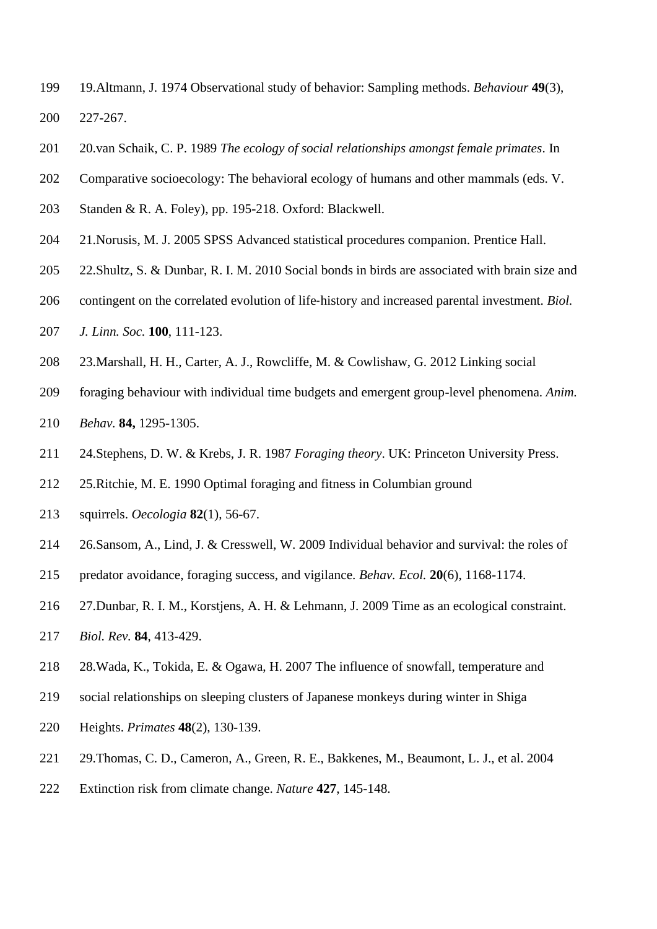- 19.Altmann, J. 1974 Observational study of behavior: Sampling methods. *Behaviour* **49**(3), 227-267.
- 20.van Schaik, C. P. 1989 *The ecology of social relationships amongst female primates*. In
- Comparative socioecology: The behavioral ecology of humans and other mammals (eds. V.
- Standen & R. A. Foley), pp. 195-218. Oxford: Blackwell.
- 21.Norusis, M. J. 2005 SPSS Advanced statistical procedures companion. Prentice Hall.
- 22.Shultz, S. & Dunbar, R. I. M. 2010 Social bonds in birds are associated with brain size and
- contingent on the correlated evolution of life‐history and increased parental investment. *Biol.*
- *J. Linn. Soc.* **100**, 111-123.
- 23.Marshall, H. H., Carter, A. J., Rowcliffe, M. & Cowlishaw, G. 2012 Linking social
- foraging behaviour with individual time budgets and emergent group-level phenomena. *Anim.*
- *Behav.* **84,** 1295-1305.
- 24.Stephens, D. W. & Krebs, J. R. 1987 *Foraging theory*. UK: Princeton University Press.
- 25.Ritchie, M. E. 1990 Optimal foraging and fitness in Columbian ground
- squirrels. *Oecologia* **82**(1), 56-67.
- 26.Sansom, A., Lind, J. & Cresswell, W. 2009 Individual behavior and survival: the roles of
- predator avoidance, foraging success, and vigilance. *Behav. Ecol.* **20**(6), 1168-1174.
- 27.Dunbar, R. I. M., Korstjens, A. H. & Lehmann, J. 2009 Time as an ecological constraint.
- *Biol. Rev.* **84**, 413-429.
- 28.Wada, K., Tokida, E. & Ogawa, H. 2007 The influence of snowfall, temperature and
- social relationships on sleeping clusters of Japanese monkeys during winter in Shiga
- Heights. *Primates* **48**(2), 130-139.
- 29.Thomas, C. D., Cameron, A., Green, R. E., Bakkenes, M., Beaumont, L. J., et al. 2004
- Extinction risk from climate change. *Nature* **427**, 145-148.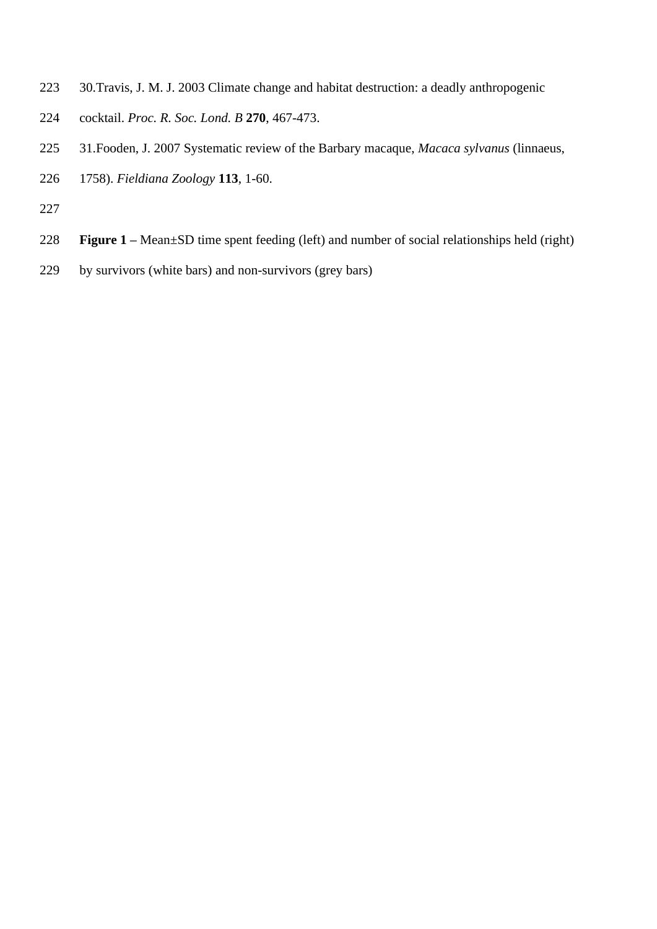- 30.Travis, J. M. J. 2003 Climate change and habitat destruction: a deadly anthropogenic
- cocktail. *Proc. R. Soc. Lond. B* **270**, 467-473.
- 31.Fooden, J. 2007 Systematic review of the Barbary macaque, *Macaca sylvanus* (linnaeus,
- 1758). *Fieldiana Zoology* **113**, 1-60.
- 
- **Figure 1 –** Mean±SD time spent feeding (left) and number of social relationships held (right)
- by survivors (white bars) and non-survivors (grey bars)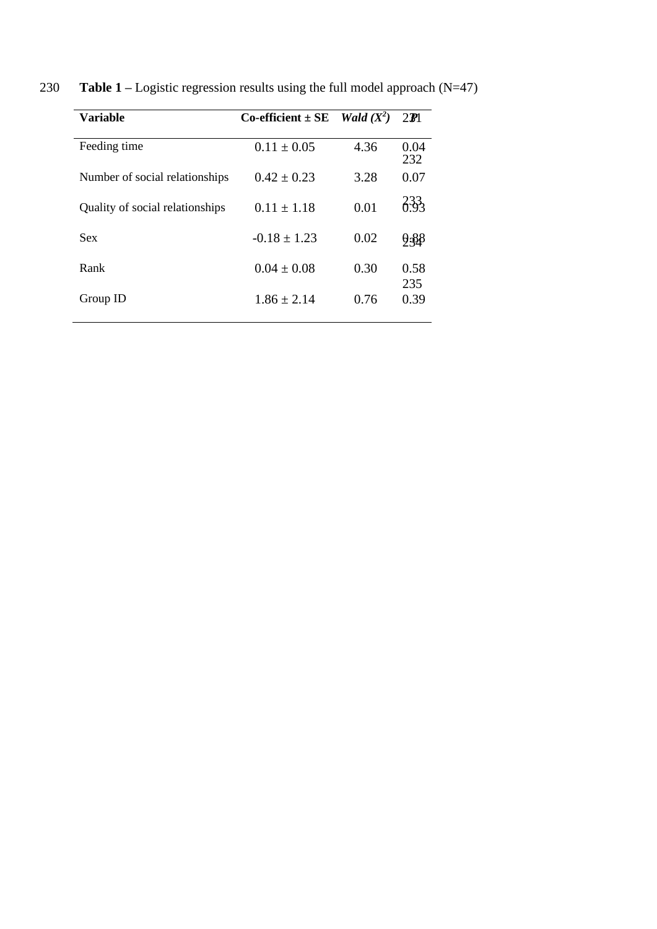| <b>Variable</b>                 | Co-efficient $\pm$ SE <i>Wald</i> ( $X^2$ ) |      | $2\mathbf{F}$ |
|---------------------------------|---------------------------------------------|------|---------------|
| Feeding time                    | $0.11 \pm 0.05$                             | 4.36 | 0.04<br>232   |
| Number of social relationships  | $0.42 + 0.23$                               | 3.28 | 0.07          |
| Quality of social relationships | $0.11 + 1.18$                               | 0.01 | 233           |
| Sex                             | $-0.18 \pm 1.23$                            | 0.02 | 9.88          |
| Rank                            | $0.04 \pm 0.08$                             | 0.30 | 0.58<br>235   |
| Group ID                        | $1.86 \pm 2.14$                             | 0.76 | 0.39          |

230 **Table 1** – Logistic regression results using the full model approach (N=47)